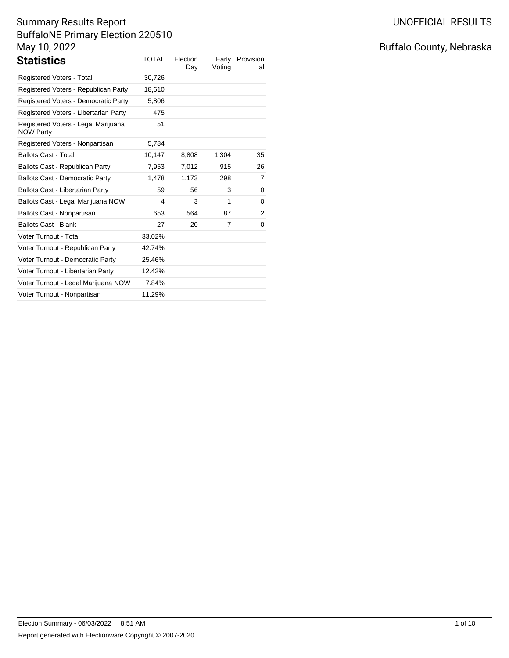| <b>Statistics</b>                                       | <b>TOTAL</b> | Election<br>Day | Earlv<br>Voting | Provision<br>al |
|---------------------------------------------------------|--------------|-----------------|-----------------|-----------------|
| Registered Voters - Total                               | 30,726       |                 |                 |                 |
| Registered Voters - Republican Party                    | 18,610       |                 |                 |                 |
| Registered Voters - Democratic Party                    | 5,806        |                 |                 |                 |
| Registered Voters - Libertarian Party                   | 475          |                 |                 |                 |
| Registered Voters - Legal Marijuana<br><b>NOW Party</b> | 51           |                 |                 |                 |
| Registered Voters - Nonpartisan                         | 5,784        |                 |                 |                 |
| <b>Ballots Cast - Total</b>                             | 10,147       | 8,808           | 1,304           | 35              |
| Ballots Cast - Republican Party                         | 7,953        | 7,012           | 915             | 26              |
| <b>Ballots Cast - Democratic Party</b>                  | 1,478        | 1,173           | 298             | 7               |
| Ballots Cast - Libertarian Party                        | 59           | 56              | 3               | 0               |
| Ballots Cast - Legal Marijuana NOW                      | 4            | 3               | 1               | 0               |
| Ballots Cast - Nonpartisan                              | 653          | 564             | 87              | 2               |
| <b>Ballots Cast - Blank</b>                             | 27           | 20              | 7               | 0               |
| Voter Turnout - Total                                   | 33.02%       |                 |                 |                 |
| Voter Turnout - Republican Party                        | 42.74%       |                 |                 |                 |
| Voter Turnout - Democratic Party                        | 25.46%       |                 |                 |                 |
| Voter Turnout - Libertarian Party                       | 12.42%       |                 |                 |                 |
| Voter Turnout - Legal Marijuana NOW                     | 7.84%        |                 |                 |                 |
| Voter Turnout - Nonpartisan                             | 11.29%       |                 |                 |                 |

# Buffalo County, Nebraska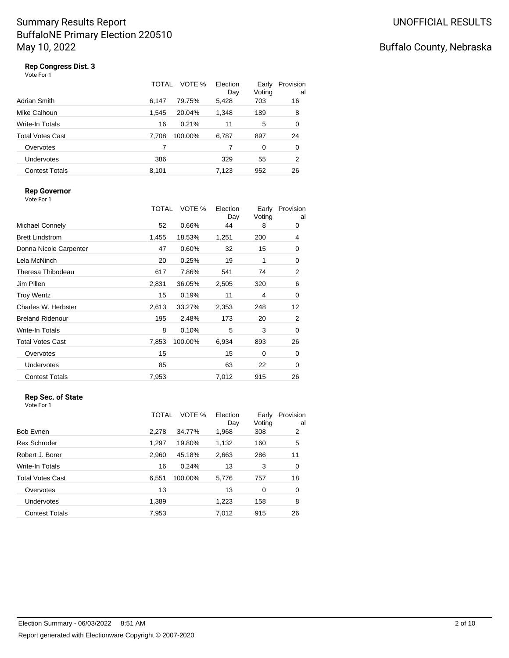# Buffalo County, Nebraska

### **Rep Congress Dist. 3**

| Vote For 1 |
|------------|
|------------|

|                       | TOTAL | VOTE %  | Election<br>Day | Early<br>Voting | Provision<br>a |
|-----------------------|-------|---------|-----------------|-----------------|----------------|
| Adrian Smith          | 6.147 | 79.75%  | 5,428           | 703             | 16             |
| Mike Calhoun          | 1.545 | 20.04%  | 1,348           | 189             | 8              |
| Write-In Totals       | 16    | 0.21%   | 11              | 5               | 0              |
| Total Votes Cast      | 7.708 | 100.00% | 6,787           | 897             | 24             |
| Overvotes             | 7     |         |                 | 0               | 0              |
| <b>Undervotes</b>     | 386   |         | 329             | 55              | 2              |
| <b>Contest Totals</b> | 8.101 |         | 7.123           | 952             | 26             |

#### **Rep Governor**

Vote For 1

|                         | TOTAL | VOTE %  | Election<br>Day | Early<br>Voting | Provision<br>al |
|-------------------------|-------|---------|-----------------|-----------------|-----------------|
| <b>Michael Connely</b>  | 52    | 0.66%   | 44              | 8               | 0               |
| <b>Brett Lindstrom</b>  | 1,455 | 18.53%  | 1,251           | 200             | 4               |
| Donna Nicole Carpenter  | 47    | 0.60%   | 32              | 15              | 0               |
| Lela McNinch            | 20    | 0.25%   | 19              | 1               | $\mathbf 0$     |
| Theresa Thibodeau       | 617   | 7.86%   | 541             | 74              | 2               |
| Jim Pillen              | 2,831 | 36.05%  | 2,505           | 320             | 6               |
| <b>Troy Wentz</b>       | 15    | 0.19%   | 11              | 4               | 0               |
| Charles W. Herbster     | 2,613 | 33.27%  | 2,353           | 248             | 12              |
| <b>Breland Ridenour</b> | 195   | 2.48%   | 173             | 20              | 2               |
| <b>Write-In Totals</b>  | 8     | 0.10%   | 5               | 3               | $\mathbf 0$     |
| <b>Total Votes Cast</b> | 7,853 | 100.00% | 6,934           | 893             | 26              |
| Overvotes               | 15    |         | 15              | 0               | 0               |
| Undervotes              | 85    |         | 63              | 22              | 0               |
| <b>Contest Totals</b>   | 7,953 |         | 7,012           | 915             | 26              |
|                         |       |         |                 |                 |                 |

#### **Rep Sec. of State** Vote For 1

| <b>Bob Evnen</b>        | TOTAL<br>2,278 | VOTE %<br>34.77% | Election<br>Day<br>1,968 | Early<br>Voting<br>308 | Provision<br>al<br>$\overline{2}$ |
|-------------------------|----------------|------------------|--------------------------|------------------------|-----------------------------------|
|                         |                |                  |                          |                        |                                   |
| <b>Rex Schroder</b>     | 1,297          | 19.80%           | 1,132                    | 160                    | 5                                 |
| Robert J. Borer         | 2,960          | 45.18%           | 2,663                    | 286                    | 11                                |
| <b>Write-In Totals</b>  | 16             | 0.24%            | 13                       | 3                      | 0                                 |
| <b>Total Votes Cast</b> | 6,551          | 100.00%          | 5,776                    | 757                    | 18                                |
| Overvotes               | 13             |                  | 13                       | 0                      | 0                                 |
| Undervotes              | 1,389          |                  | 1,223                    | 158                    | 8                                 |
| <b>Contest Totals</b>   | 7,953          |                  | 7,012                    | 915                    | 26                                |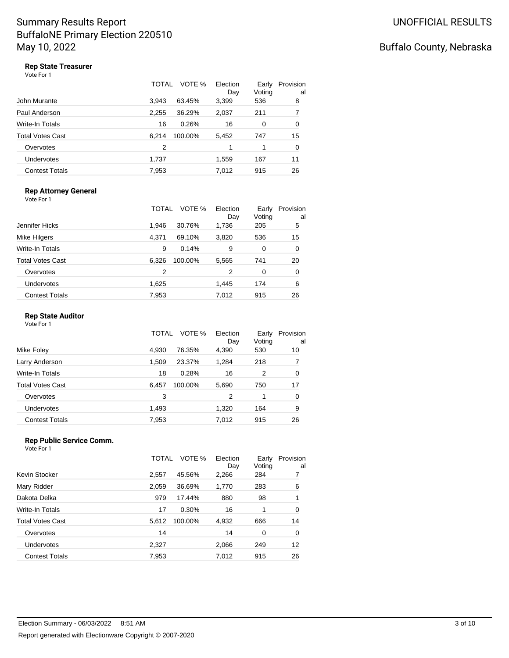## Buffalo County, Nebraska

### **Rep State Treasurer**

Vote For 1

|                       | TOTAL | VOTE %  | Election<br>Day | Early<br>Voting | Provision<br>al |
|-----------------------|-------|---------|-----------------|-----------------|-----------------|
| John Murante          | 3.943 | 63.45%  | 3,399           | 536             | 8               |
| Paul Anderson         | 2,255 | 36.29%  | 2,037           | 211             | 7               |
| Write-In Totals       | 16    | 0.26%   | 16              | 0               | 0               |
| Total Votes Cast      | 6.214 | 100.00% | 5,452           | 747             | 15              |
| Overvotes             | 2     |         | 1               |                 | 0               |
| <b>Undervotes</b>     | 1,737 |         | 1,559           | 167             | 11              |
| <b>Contest Totals</b> | 7,953 |         | 7.012           | 915             | 26              |

#### **Rep Attorney General**

| Vote For 1              |              |         |                 |                 |                 |
|-------------------------|--------------|---------|-----------------|-----------------|-----------------|
|                         | <b>TOTAL</b> | VOTE %  | Election<br>Day | Early<br>Voting | Provision<br>al |
| Jennifer Hicks          | 1,946        | 30.76%  | 1,736           | 205             | 5               |
| Mike Hilgers            | 4.371        | 69.10%  | 3,820           | 536             | 15              |
| Write-In Totals         | 9            | 0.14%   | 9               | 0               | 0               |
| <b>Total Votes Cast</b> | 6,326        | 100.00% | 5,565           | 741             | 20              |
| Overvotes               | 2            |         | 2               | 0               | 0               |
| <b>Undervotes</b>       | 1,625        |         | 1,445           | 174             | 6               |
| <b>Contest Totals</b>   | 7,953        |         | 7.012           | 915             | 26              |

#### **Rep State Auditor**

Vote For 1

|                         | TOTAL | VOTE %  | Election<br>Day | Early<br>Voting | Provision<br>a |
|-------------------------|-------|---------|-----------------|-----------------|----------------|
| Mike Foley              | 4.930 | 76.35%  | 4,390           | 530             | 10             |
| Larry Anderson          | 1,509 | 23.37%  | 1,284           | 218             | 7              |
| <b>Write-In Totals</b>  | 18    | 0.28%   | 16              | 2               | 0              |
| <b>Total Votes Cast</b> | 6,457 | 100.00% | 5,690           | 750             | 17             |
| Overvotes               | 3     |         | 2               | 1               | 0              |
| Undervotes              | 1,493 |         | 1,320           | 164             | 9              |
| <b>Contest Totals</b>   | 7,953 |         | 7,012           | 915             | 26             |

#### **Rep Public Service Comm.** Vote For 1

|                         | TOTAL | VOTE %  | Election<br>Day | Early<br>Voting | Provision<br>al |
|-------------------------|-------|---------|-----------------|-----------------|-----------------|
| Kevin Stocker           | 2,557 | 45.56%  | 2,266           | 284             | 7               |
| Mary Ridder             | 2,059 | 36.69%  | 1,770           | 283             | 6               |
| Dakota Delka            | 979   | 17.44%  | 880             | 98              | 1               |
| Write-In Totals         | 17    | 0.30%   | 16              | 1               | 0               |
| <b>Total Votes Cast</b> | 5.612 | 100.00% | 4,932           | 666             | 14              |
| Overvotes               | 14    |         | 14              | 0               | 0               |
| Undervotes              | 2,327 |         | 2,066           | 249             | 12              |
| <b>Contest Totals</b>   | 7,953 |         | 7.012           | 915             | 26              |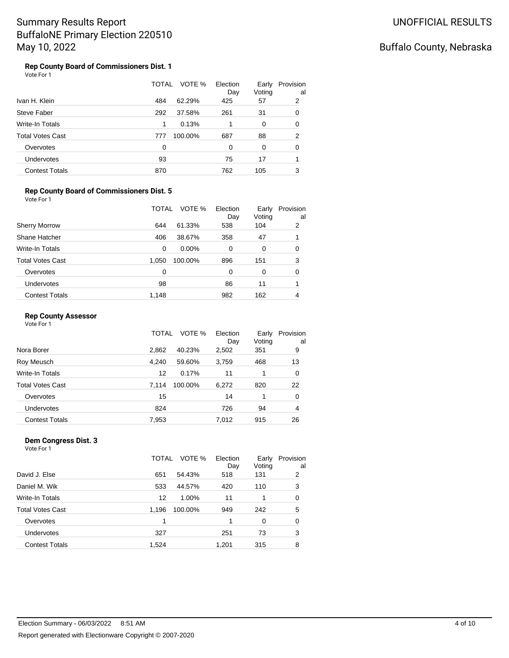## Buffalo County, Nebraska

#### **Rep County Board of Commissioners Dist. 1** Vote For 1

|                         | TOTAL | VOTE %  | Election<br>Day | Early<br>Voting | Provision<br>al |
|-------------------------|-------|---------|-----------------|-----------------|-----------------|
| Ivan H. Klein           | 484   | 62.29%  | 425             | 57              | 2               |
| Steve Faber             | 292   | 37.58%  | 261             | 31              | 0               |
| <b>Write-In Totals</b>  | 1     | 0.13%   |                 | 0               | 0               |
| <b>Total Votes Cast</b> | 777   | 100.00% | 687             | 88              | 2               |
| Overvotes               | 0     |         | 0               | 0               | 0               |
| <b>Undervotes</b>       | 93    |         | 75              | 17              |                 |
| <b>Contest Totals</b>   | 870   |         | 762             | 105             | 3               |

#### **Rep County Board of Commissioners Dist. 5**

| Vote For 1              |       |         |                 |                 |                 |
|-------------------------|-------|---------|-----------------|-----------------|-----------------|
|                         | TOTAL | VOTE %  | Election<br>Day | Early<br>Voting | Provision<br>al |
| <b>Sherry Morrow</b>    | 644   | 61.33%  | 538             | 104             | 2               |
| Shane Hatcher           | 406   | 38.67%  | 358             | 47              |                 |
| <b>Write-In Totals</b>  | 0     | 0.00%   | 0               | 0               | 0               |
| <b>Total Votes Cast</b> | 1,050 | 100.00% | 896             | 151             | 3               |
| Overvotes               | 0     |         | 0               | $\Omega$        | 0               |
| <b>Undervotes</b>       | 98    |         | 86              | 11              |                 |
| <b>Contest Totals</b>   | 1,148 |         | 982             | 162             | 4               |

#### **Rep County Assessor**

Vote For 1

| Voting<br>Day                                               | al |
|-------------------------------------------------------------|----|
| Nora Borer<br>2.862<br>40.23%<br>351<br>2,502               | 9  |
| Roy Meusch<br>4.240<br>3,759<br>59.60%<br>468               | 13 |
| Write-In Totals<br>12<br>0.17%<br>11                        | 0  |
| <b>Total Votes Cast</b><br>100.00%<br>6,272<br>820<br>7.114 | 22 |
| 15<br>14<br>Overvotes<br>1                                  | 0  |
| 824<br>726<br>Undervotes<br>94                              | 4  |
| <b>Contest Totals</b><br>7,953<br>7,012<br>915              | 26 |

#### **Dem Congress Dist. 3** Vote For 1

|                         | TOTAL | VOTE %  | Election<br>Day | Early<br>Voting | Provision<br>al |
|-------------------------|-------|---------|-----------------|-----------------|-----------------|
| David J. Else           | 651   | 54.43%  | 518             | 131             | 2               |
| Daniel M. Wik           | 533   | 44.57%  | 420             | 110             | 3               |
| Write-In Totals         | 12    | 1.00%   | 11              |                 | 0               |
| <b>Total Votes Cast</b> | 1,196 | 100.00% | 949             | 242             | 5               |
| Overvotes               | 1     |         | 1               | 0               | 0               |
| <b>Undervotes</b>       | 327   |         | 251             | 73              | 3               |
| <b>Contest Totals</b>   | 1,524 |         | 1,201           | 315             | 8               |
|                         |       |         |                 |                 |                 |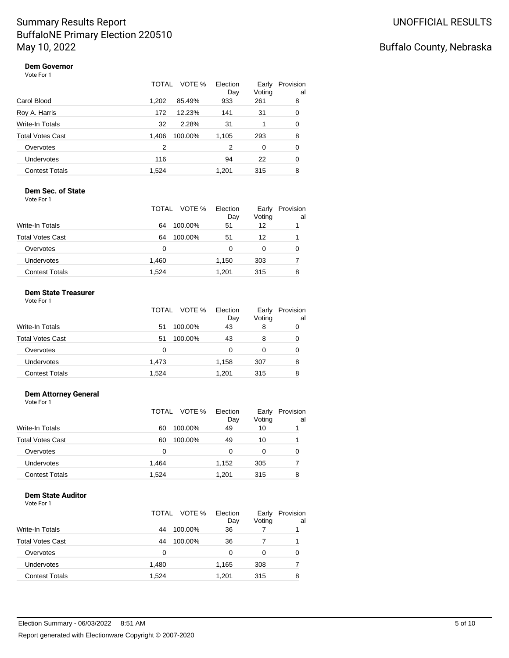## Buffalo County, Nebraska

#### **Dem Governor** Vote For 1

|                         | TOTAL | VOTE %  | Election<br>Day | Early<br>Voting | Provision<br>al |
|-------------------------|-------|---------|-----------------|-----------------|-----------------|
| Carol Blood             | 1.202 | 85.49%  | 933             | 261             | 8               |
| Roy A. Harris           | 172   | 12.23%  | 141             | 31              | 0               |
| <b>Write-In Totals</b>  | 32    | 2.28%   | 31              |                 | 0               |
| <b>Total Votes Cast</b> | 1.406 | 100.00% | 1,105           | 293             | 8               |
| Overvotes               | 2     |         | 2               | 0               | 0               |
| <b>Undervotes</b>       | 116   |         | 94              | 22              | 0               |
| <b>Contest Totals</b>   | 1.524 |         | 1.201           | 315             | 8               |

#### **Dem Sec. of State** Vote For 1

|                         | VOTE %<br>TOTAL | Election<br>Day | Early<br>Voting | Provision<br>al |
|-------------------------|-----------------|-----------------|-----------------|-----------------|
| <b>Write-In Totals</b>  | 64<br>100.00%   | 51              | 12              |                 |
| <b>Total Votes Cast</b> | 100.00%<br>64   | 51              | 12              |                 |
| Overvotes               | 0               | 0               | 0               | 0               |
| Undervotes              | 1,460           | 1,150           | 303             |                 |
| <b>Contest Totals</b>   | 1,524           | 1.201           | 315             | 8               |

### **Dem State Treasurer**

| Vote For 1 |  |  |
|------------|--|--|
|------------|--|--|

|                         | TOTAL | VOTE %<br>Election<br>Day | Early<br>Voting | Provision<br>al |
|-------------------------|-------|---------------------------|-----------------|-----------------|
| <b>Write-In Totals</b>  | 51    | 43<br>100.00%             | 8               |                 |
| <b>Total Votes Cast</b> | 51    | 100.00%<br>43             | 8               | 0               |
| Overvotes               | 0     | ი                         | 0               |                 |
| Undervotes              | 1,473 | 1,158                     | 307             | 8               |
| <b>Contest Totals</b>   | 1.524 | 1.201                     | 315             | 8               |

### **Dem Attorney General**

Vote For 1

|                         | TOTAL | VOTE %  | Election<br>Day | Early<br>Voting | Provision<br>al |
|-------------------------|-------|---------|-----------------|-----------------|-----------------|
| <b>Write-In Totals</b>  | 60    | 100.00% | 49              | 10              |                 |
| <b>Total Votes Cast</b> | 60    | 100.00% | 49              | 10              |                 |
| Overvotes               | 0     |         | 0               | 0               | 0               |
| Undervotes              | 1,464 |         | 1,152           | 305             |                 |
| <b>Contest Totals</b>   | 1,524 |         | 1.201           | 315             | 8               |

### **Dem State Auditor**

| Vote For 1 |  |
|------------|--|
|            |  |

|                         | VOTE %<br>TOTAL | Election<br>Day | Early<br>Voting | Provision<br>al |
|-------------------------|-----------------|-----------------|-----------------|-----------------|
| <b>Write-In Totals</b>  | 100.00%<br>44   | 36              |                 |                 |
| <b>Total Votes Cast</b> | 100.00%<br>44   | 36              |                 |                 |
| Overvotes               | 0               | 0               | 0               |                 |
| <b>Undervotes</b>       | 1,480           | 1,165           | 308             |                 |
| <b>Contest Totals</b>   | 1,524           | 1.201           | 315             | 8               |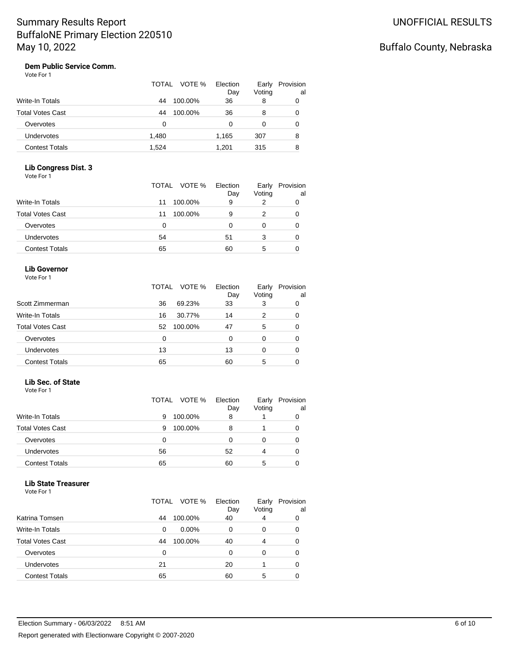# Buffalo County, Nebraska

#### **Dem Public Service Comm.** Vote For 1

|                         | TOTAL | VOTE %  | Election<br>Day | Early<br>Voting | Provision<br>al |
|-------------------------|-------|---------|-----------------|-----------------|-----------------|
| <b>Write-In Totals</b>  | 44    | 100.00% | 36              | 8               | 0               |
| <b>Total Votes Cast</b> | 44    | 100.00% | 36              | 8               | 0               |
| Overvotes               | 0     |         | 0               | 0               | 0               |
| Undervotes              | 1,480 |         | 1,165           | 307             | 8               |
| <b>Contest Totals</b>   | 1,524 |         | 1.201           | 315             | 8               |

### **Lib Congress Dist. 3**

|                         | TOTAL VOTE % Election | Day | Early<br>Voting | Provision<br>al |
|-------------------------|-----------------------|-----|-----------------|-----------------|
| <b>Write-In Totals</b>  | 100.00%<br>11         | 9   |                 |                 |
| <b>Total Votes Cast</b> | 100.00%<br>11         | 9   |                 |                 |
| Overvotes               | 0                     |     | 0               |                 |
| Undervotes              | 54                    | 51  | 3               |                 |
| <b>Contest Totals</b>   | 65                    | 60  | 5               |                 |

### **Lib Governor**

|  | Vote For 1 |  |
|--|------------|--|
|--|------------|--|

|                         | VOTE %<br>TOTAL | Election<br>Day | Early<br>Voting | Provision<br>al |
|-------------------------|-----------------|-----------------|-----------------|-----------------|
| Scott Zimmerman         | 36<br>69.23%    | 33              | 3               | 0               |
| <b>Write-In Totals</b>  | 30.77%<br>16    | 14              | 2               | 0               |
| <b>Total Votes Cast</b> | 100.00%<br>52   | 47              | 5               | 0               |
| Overvotes               | 0               | 0               | 0               | 0               |
| <b>Undervotes</b>       | 13              | 13              |                 | 0               |
| <b>Contest Totals</b>   | 65              | 60              | 5               |                 |

#### **Lib Sec. of State**

Vote For 1

|                         | TOTAL VOTE % | Election<br>Day | Early<br>Voting | Provision<br>al |
|-------------------------|--------------|-----------------|-----------------|-----------------|
| <b>Write-In Totals</b>  | 100.00%<br>9 | 8               |                 |                 |
| <b>Total Votes Cast</b> | 100.00%<br>9 | 8               |                 | 0               |
| Overvotes               | 0            |                 |                 |                 |
| Undervotes              | 56           | 52              | 4               | 0               |
| <b>Contest Totals</b>   | 65           | 60              | 5               |                 |

#### **Lib State Treasurer**

| Vote For 1 |  |
|------------|--|
|------------|--|

|                         | TOTAL | VOTE %   | Election<br>Day | Early<br>Voting | Provision<br>al |
|-------------------------|-------|----------|-----------------|-----------------|-----------------|
| Katrina Tomsen          | 44    | 100.00%  | 40              | 4               | 0               |
| <b>Write-In Totals</b>  | 0     | $0.00\%$ | 0               | 0               | 0               |
| <b>Total Votes Cast</b> | 44    | 100.00%  | 40              | 4               | 0               |
| Overvotes               | 0     |          | 0               | 0               | 0               |
| <b>Undervotes</b>       | 21    |          | 20              |                 | 0               |
| <b>Contest Totals</b>   | 65    |          | 60              | 5               |                 |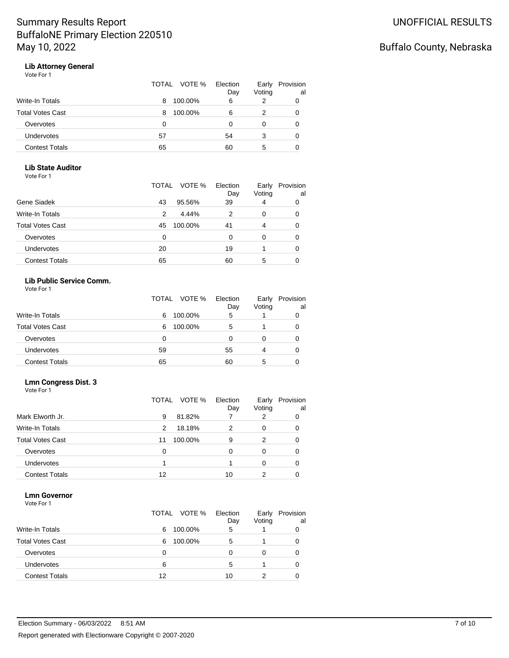## Buffalo County, Nebraska

# **Lib Attorney General**

| Vote For 1 |  |
|------------|--|
|------------|--|

|                       | TOTAL VOTE % | Election<br>Day | Early<br>Voting | Provision<br>al |
|-----------------------|--------------|-----------------|-----------------|-----------------|
| Write-In Totals       | 100.00%<br>8 | 6               |                 |                 |
| Total Votes Cast      | 100.00%<br>8 | 6               |                 |                 |
| Overvotes             | 0            |                 | 0               |                 |
| <b>Undervotes</b>     | 57           | 54              | 3               |                 |
| <b>Contest Totals</b> | 65           | 60              | 5               |                 |

#### **Lib State Auditor**

Vote For 1

|                         | TOTAL<br>VOTE % | Election<br>Day | Early<br>Voting | Provision<br>al |
|-------------------------|-----------------|-----------------|-----------------|-----------------|
| Gene Siadek             | 95.56%<br>43    | 39              | 4               | 0               |
| <b>Write-In Totals</b>  | 4.44%<br>2      | 2               | 0               | 0               |
| <b>Total Votes Cast</b> | 100.00%<br>45   | 41              | 4               | 0               |
| Overvotes               | 0               | 0               | 0               | O               |
| Undervotes              | 20              | 19              |                 | 0               |
| <b>Contest Totals</b>   | 65              | 60              | 5               |                 |

### **Lib Public Service Comm.**

| Vote For 1 |  |  |
|------------|--|--|
|------------|--|--|

|                         | TOTAL VOTE % | Election<br>Day | Early<br>Voting | Provision<br>al |
|-------------------------|--------------|-----------------|-----------------|-----------------|
| Write-In Totals         | 100.00%<br>6 | 5               |                 | 0               |
| <b>Total Votes Cast</b> | 100.00%<br>6 | 5               |                 | 0               |
| Overvotes               | 0            | 0               | 0               | 0               |
| <b>Undervotes</b>       | 59           | 55              | 4               | 0               |
| <b>Contest Totals</b>   | 65           | 60              | 5               | 0               |

### **Lmn Congress Dist. 3**

Vote For 1

|                         | VOTE %<br>TOTAL | Election<br>Day | Early<br>Voting | Provision<br>al |
|-------------------------|-----------------|-----------------|-----------------|-----------------|
| Mark Elworth Jr.        | 81.82%<br>9     |                 | 2               | 0               |
| <b>Write-In Totals</b>  | 18.18%<br>2     | 2               | 0               | 0               |
| <b>Total Votes Cast</b> | 100.00%<br>11   | 9               | 2               | 0               |
| Overvotes               | 0               | O               | 0               | 0               |
| Undervotes              |                 |                 | 0               | 0               |
| <b>Contest Totals</b>   | 12              | 10              | 2               |                 |

### **Lmn Governor**

| Vote For 1 |  |
|------------|--|
|------------|--|

|                         |    | TOTAL VOTE % | Election<br>Day | Early<br>Voting | Provision<br>al |
|-------------------------|----|--------------|-----------------|-----------------|-----------------|
| <b>Write-In Totals</b>  | 6  | 100.00%      | 5               |                 |                 |
| <b>Total Votes Cast</b> | 6  | 100.00%      | 5               |                 | 0               |
| Overvotes               | 0  |              |                 |                 |                 |
| Undervotes              | 6  |              | 5               |                 | 0               |
| <b>Contest Totals</b>   | 12 |              | 10              |                 |                 |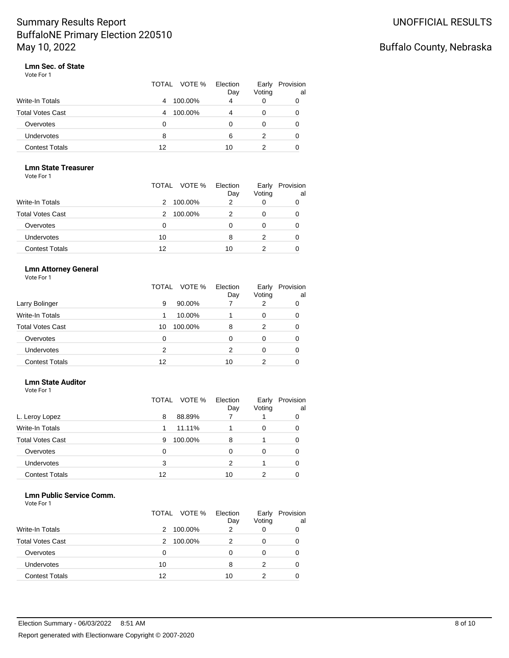## Buffalo County, Nebraska

#### **Lmn Sec. of State** Vote For 1

|                         | TOTAL VOTE % | Election<br>Day | Early<br>Voting | Provision<br>al |
|-------------------------|--------------|-----------------|-----------------|-----------------|
| <b>Write-In Totals</b>  | 100.00%<br>4 | 4               | 0               |                 |
| <b>Total Votes Cast</b> | 100.00%<br>4 | 4               | 0               |                 |
| Overvotes               | 0            | 0               | 0               |                 |
| <b>Undervotes</b>       | 8            | 6               | 2               |                 |
| <b>Contest Totals</b>   | 12           | 10              |                 |                 |

### **Lmn State Treasurer**

Vote For 1

|                         | TOTAL VOTE % Election | Day | Early<br>Voting | Provision<br>al |
|-------------------------|-----------------------|-----|-----------------|-----------------|
| <b>Write-In Totals</b>  | 100.00%<br>2.         | 2   | 0               |                 |
| <b>Total Votes Cast</b> | 100.00%<br>2          |     | 0               |                 |
| Overvotes               | 0                     | O   |                 |                 |
| Undervotes              | 10                    | 8   |                 |                 |
| <b>Contest Totals</b>   | 12                    | 10  |                 |                 |

### **Lmn Attorney General**

Vote For 1

|                         | VOTE %<br>TOTAL | Election<br>Day | Early<br>Voting | Provision<br>al |
|-------------------------|-----------------|-----------------|-----------------|-----------------|
| Larry Bolinger          | 90.00%<br>9     |                 | 2               | 0               |
| <b>Write-In Totals</b>  | 10.00%          |                 | 0               | 0               |
| <b>Total Votes Cast</b> | 100.00%<br>10   | 8               | 2               | 0               |
| Overvotes               | 0               | 0               | 0               | 0               |
| <b>Undervotes</b>       | 2               | 2               | 0               | 0               |
| <b>Contest Totals</b>   | 12              | 10              | 2               |                 |

#### **Lmn State Auditor**

Vote For 1

|                         | VOTE %<br>TOTAL | Election<br>Day | Early<br>Voting | Provision<br>al |
|-------------------------|-----------------|-----------------|-----------------|-----------------|
| L. Leroy Lopez          | 88.89%<br>8     |                 |                 | 0               |
| <b>Write-In Totals</b>  | 11.11%<br>1.    |                 | 0               | 0               |
| <b>Total Votes Cast</b> | 100.00%<br>9    | 8               |                 | 0               |
| Overvotes               | 0               |                 | 0               | 0               |
| <b>Undervotes</b>       | 3               | 2               |                 | 0               |
| <b>Contest Totals</b>   | 12              | 10              |                 |                 |

### **Lmn Public Service Comm.**

| Vote For 1 |  |  |
|------------|--|--|
|            |  |  |

|                         | TOTAL | VOTE %  | Election<br>Day | Early<br>Voting | Provision<br>al |
|-------------------------|-------|---------|-----------------|-----------------|-----------------|
| Write-In Totals         | 2     | 100.00% |                 | 0               |                 |
| <b>Total Votes Cast</b> | 2     | 100.00% |                 | 0               | 0               |
| Overvotes               | 0     |         |                 | 0               | 0               |
| <b>Undervotes</b>       | 10    |         | 8               | 2               | 0               |
| <b>Contest Totals</b>   | 12    |         | 10              |                 |                 |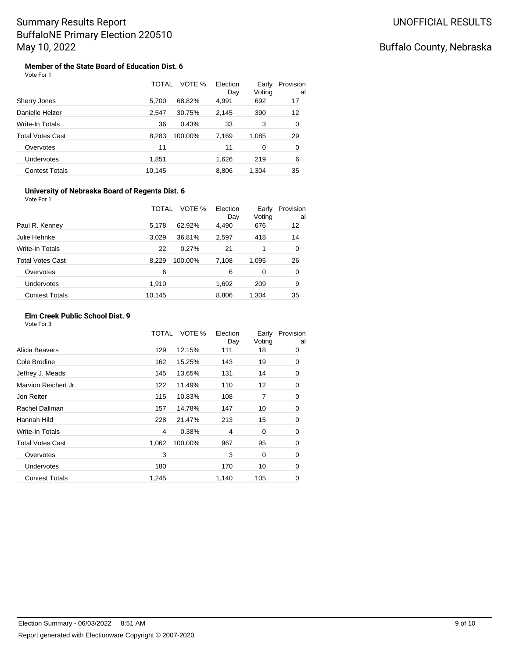#### **Member of the State Board of Education Dist. 6** Vote For 1

|                       | TOTAL  | VOTE %  | Election<br>Day | Early<br>Voting | Provision<br>al |
|-----------------------|--------|---------|-----------------|-----------------|-----------------|
| Sherry Jones          | 5,700  | 68.82%  | 4,991           | 692             | 17              |
| Danielle Helzer       | 2,547  | 30.75%  | 2,145           | 390             | 12              |
| Write-In Totals       | 36     | 0.43%   | 33              | 3               | 0               |
| Total Votes Cast      | 8.283  | 100.00% | 7,169           | 1,085           | 29              |
| Overvotes             | 11     |         | 11              | 0               | 0               |
| <b>Undervotes</b>     | 1,851  |         | 1,626           | 219             | 6               |
| <b>Contest Totals</b> | 10,145 |         | 8,806           | 1,304           | 35              |

#### **University of Nebraska Board of Regents Dist. 6** Vote For 1

|                         | TOTAL            | VOTE %<br>Election<br>Day | Early<br>Voting | Provision<br>al |
|-------------------------|------------------|---------------------------|-----------------|-----------------|
| Paul R. Kenney          | 62.92%<br>5,178  | 4,490                     | 676             | 12              |
| Julie Hehnke            | 3.029<br>36.81%  | 2,597                     | 418             | 14              |
| <b>Write-In Totals</b>  | 22<br>0.27%      | 21                        |                 | 0               |
| <b>Total Votes Cast</b> | 8.229<br>100.00% | 7.108                     | 1,095           | 26              |
| Overvotes               | 6                | 6                         | 0               | 0               |
| <b>Undervotes</b>       | 1,910            | 1,692                     | 209             | 9               |
| <b>Contest Totals</b>   | 10.145           | 8,806                     | 1.304           | 35              |

### **Elm Creek Public School Dist. 9**

| Vote For 3 |  |  |  |
|------------|--|--|--|
|------------|--|--|--|

|                         | TOTAL | VOTE %  | Election<br>Day | Early<br>Voting | Provision<br>al |
|-------------------------|-------|---------|-----------------|-----------------|-----------------|
| Alicia Beavers          | 129   | 12.15%  | 111             | 18              | 0               |
| Cole Brodine            | 162   | 15.25%  | 143             | 19              | 0               |
| Jeffrey J. Meads        | 145   | 13.65%  | 131             | 14              | 0               |
| Marvion Reichert Jr.    | 122   | 11.49%  | 110             | 12              | 0               |
| Jon Reiter              | 115   | 10.83%  | 108             | $\overline{7}$  | 0               |
| Rachel Dallman          | 157   | 14.78%  | 147             | 10              | 0               |
| Hannah Hild             | 228   | 21.47%  | 213             | 15              | 0               |
| Write-In Totals         | 4     | 0.38%   | 4               | 0               | 0               |
| <b>Total Votes Cast</b> | 1,062 | 100.00% | 967             | 95              | 0               |
| Overvotes               | 3     |         | 3               | 0               | 0               |
| <b>Undervotes</b>       | 180   |         | 170             | 10              | 0               |
| <b>Contest Totals</b>   | 1,245 |         | 1,140           | 105             | 0               |
|                         |       |         |                 |                 |                 |

## Buffalo County, Nebraska